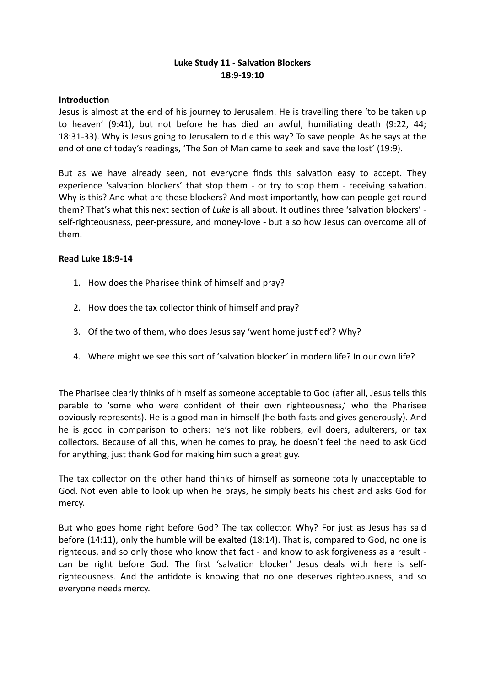# **Luke Study 11 - Salvation Blockers 18:9-19:10**

### **Introduction**

Jesus is almost at the end of his journey to Jerusalem. He is travelling there 'to be taken up to heaven' (9:41), but not before he has died an awful, humiliating death (9:22, 44; 18:31-33). Why is Jesus going to Jerusalem to die this way? To save people. As he says at the end of one of today's readings, 'The Son of Man came to seek and save the lost' (19:9).

But as we have already seen, not everyone finds this salvation easy to accept. They experience 'salvation blockers' that stop them - or try to stop them - receiving salvation. Why is this? And what are these blockers? And most importantly, how can people get round them? That's what this next section of *Luke* is all about. It outlines three 'salvation blockers' self-righteousness, peer-pressure, and money-love - but also how Jesus can overcome all of them.

## **Read Luke 18:9-14**

- 1. How does the Pharisee think of himself and pray?
- 2. How does the tax collector think of himself and pray?
- 3. Of the two of them, who does Jesus say 'went home justified'? Why?
- 4. Where might we see this sort of 'salvation blocker' in modern life? In our own life?

The Pharisee clearly thinks of himself as someone acceptable to God (after all, Jesus tells this parable to 'some who were confident of their own righteousness,' who the Pharisee obviously represents). He is a good man in himself (he both fasts and gives generously). And he is good in comparison to others: he's not like robbers, evil doers, adulterers, or tax collectors. Because of all this, when he comes to pray, he doesn't feel the need to ask God for anything, just thank God for making him such a great guy.

The tax collector on the other hand thinks of himself as someone totally unacceptable to God. Not even able to look up when he prays, he simply beats his chest and asks God for mercy.

But who goes home right before God? The tax collector. Why? For just as Jesus has said before (14:11), only the humble will be exalted (18:14). That is, compared to God, no one is righteous, and so only those who know that fact - and know to ask forgiveness as a result can be right before God. The first 'salvation blocker' Jesus deals with here is selfrighteousness. And the antidote is knowing that no one deserves righteousness, and so everyone needs mercy.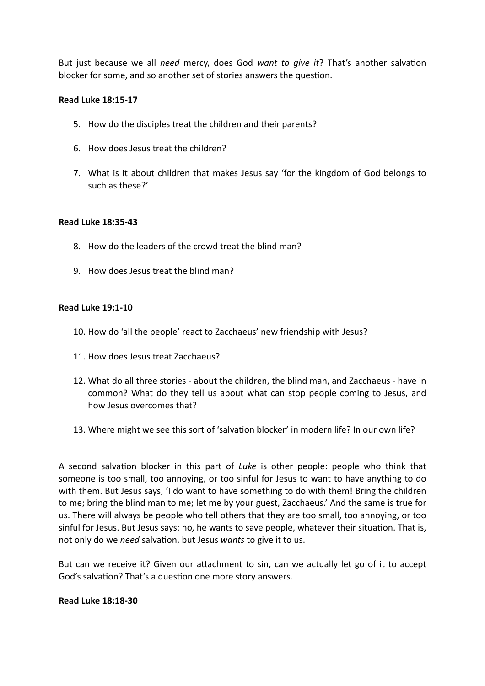But just because we all *need* mercy, does God *want to give it*? That's another salvation blocker for some, and so another set of stories answers the question.

### **Read Luke 18:15-17**

- 5. How do the disciples treat the children and their parents?
- 6. How does Jesus treat the children?
- 7. What is it about children that makes Jesus say 'for the kingdom of God belongs to such as these?'

#### **Read Luke 18:35-43**

- 8. How do the leaders of the crowd treat the blind man?
- 9. How does Jesus treat the blind man?

#### **Read Luke 19:1-10**

- 10. How do 'all the people' react to Zacchaeus' new friendship with Jesus?
- 11. How does Jesus treat Zacchaeus?
- 12. What do all three stories about the children, the blind man, and Zacchaeus have in common? What do they tell us about what can stop people coming to Jesus, and how Jesus overcomes that?
- 13. Where might we see this sort of 'salvation blocker' in modern life? In our own life?

A second salvation blocker in this part of *Luke* is other people: people who think that someone is too small, too annoying, or too sinful for Jesus to want to have anything to do with them. But Jesus says, 'I do want to have something to do with them! Bring the children to me; bring the blind man to me; let me by your guest, Zacchaeus.' And the same is true for us. There will always be people who tell others that they are too small, too annoying, or too sinful for Jesus. But Jesus says: no, he wants to save people, whatever their situation. That is, not only do we *need* salvation, but Jesus *wants* to give it to us.

But can we receive it? Given our attachment to sin, can we actually let go of it to accept God's salvation? That's a question one more story answers.

#### **Read Luke 18:18-30**